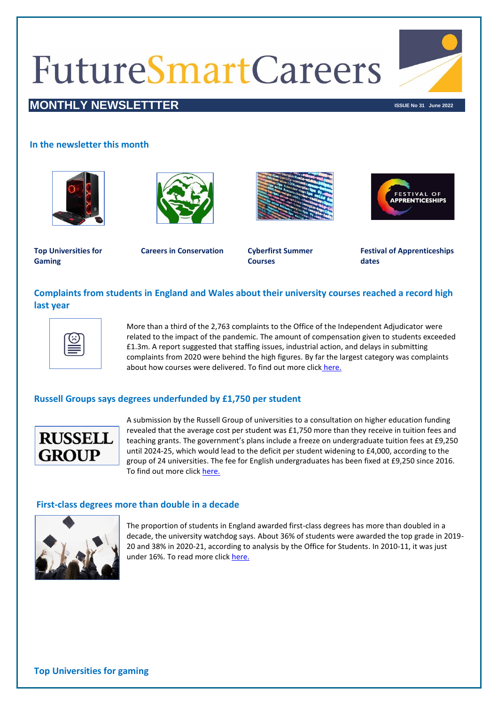# **FutureSmartCareers**



# **MONTHLY NEWSLETTTER In the contract of the contract of the contract of the contract of the contract of the contract of the contract of the contract of the contract of the contract of the contract of the contract of the**

# **In the newsletter this month**









**Top Universities for Gaming**

**Careers in Conservation Cyberfirst Summer** 

**Courses**

**Festival of Apprenticeships dates**

# **Complaints from students in England and Wales about their university courses reached a record high last year**



More than a third of the 2,763 complaints to the Office of the Independent Adjudicator were related to the impact of the pandemic. The amount of compensation given to students exceeded £1.3m. A report suggested that staffing issues, industrial action, and delays in submitting complaints from 2020 were behind the high figures. By far the largest category was complaints about how courses were delivered. To find out more click [here.](https://www.bbc.co.uk/news/uk-61314662)

# **Russell Groups says degrees underfunded by £1,750 per student**



A submission by the Russell Group of universities to a consultation on higher education funding revealed that the average cost per student was £1,750 more than they receive in tuition fees and teaching grants. The government's plans include a freeze on undergraduate tuition fees at £9,250 until 2024-25, which would lead to the deficit per student widening to £4,000, according to the group of 24 universities. The fee for English undergraduates has been fixed at £9,250 since 2016. To find out more click [here.](https://www.theguardian.com/education/2022/may/05/degrees-underfunded-by-1750-per-student-russell-group-says)

#### **First-class degrees more than double in a decade**



The proportion of students in England awarded first-class degrees has more than doubled in a decade, the university watchdog says. About 36% of students were awarded the top grade in 2019- 20 and 38% in 2020-21, according to analysis by the Office for Students. In 2010-11, it was just under 16%. To read more click [here.](https://www.bbc.co.uk/news/education-61422305)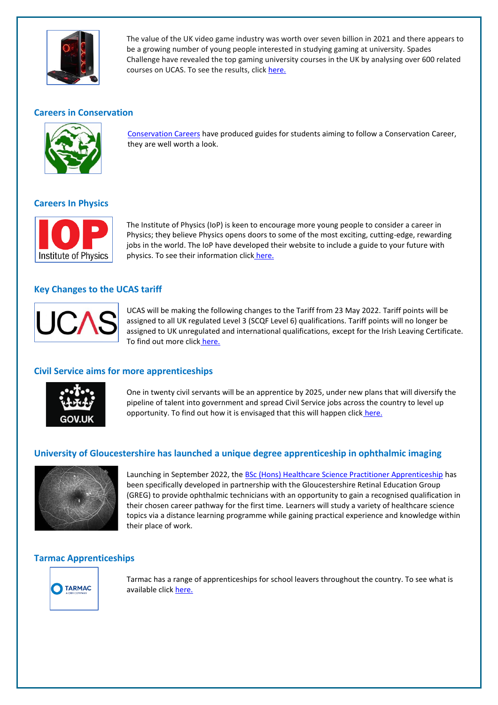

The value of the UK video game industry was worth over seven billion in 2021 and there appears to be a growing number of young people interested in studying gaming at university. Spades Challenge have revealed the top gaming university courses in the UK by analysing over 600 related courses on UCAS. To see the results, clic[k here.](https://www.fenews.co.uk/education/ranked-new-data-reveals-the-top-university-courses-for-gaming/)

#### **Careers in Conservation**



[Conservation Careers](https://www.conservation-careers.com/ultimate-guides-top-conservation-careers-advice/) have produced guides for students aiming to follow a Conservation Career, they are well worth a look.

#### **Careers In Physics**



The Institute of Physics (IoP) is keen to encourage more young people to consider a career in Physics; they believe Physics opens doors to some of the most exciting, cutting-edge, rewarding jobs in the world. The IoP have developed their website to include a guide to your future with physics. To see their information click [here.](https://www.iop.org/careers-physics/your-future-with-physics)

# **Key Changes to the UCAS tariff**



UCAS will be making the following changes to the Tariff from 23 May 2022. Tariff points will be assigned to all UK regulated Level 3 (SCQF Level 6) qualifications. Tariff points will no longer be assigned to UK unregulated and international qualifications, except for the Irish Leaving Certificate. To find out more click [here.](https://www.ucas.com/advisers/guides-and-resources/adviser-news/news/key-changes-ucas-tariff)

#### **Civil Service aims for more apprenticeships**



One in twenty civil servants will be an apprentice by 2025, under new plans that will diversify the pipeline of talent into government and spread Civil Service jobs across the country to level up opportunity. To find out how it is envisaged that this will happen click [here.](https://www.gov.uk/government/publications/civil-service-apprenticeships-strategy-2022-to-2025/civil-service-apprenticeships-strategy-2022-to-2025)

#### **University of Gloucestershire has launched a unique degree apprenticeship in ophthalmic imaging**



Launching in September 2022, the **[BSc \(Hons\) Healthcare Science Practitioner Apprenticeship](http://link.mediaoutreach.meltwater.com/ls/click?upn=JWs8T3SkywTTYIJt3iczWI2kcCQfKenqIXGjv2daqKPGhaaToVL1LdeUsDuQUgQTisGC2mthSDYcrGHuYWlBQ343Rkm7pqpafZJdUMmISwCJZM1R7w3N-2Bhfyn8q88stC8l17_kUSOyLKFh1DUjfbFLTjqYCubRmHLk1VUl8dkehaovJdlJF9MW3Ri6zE7ryYdIhUCZUsvXgo-2B-2B4kRjykoauzWPGOJL0T2S8PSzrSqdy-2Byu8oYJQJwRdg-2F5dpB5cc7i7qsN0GbEL7EoZ7GzCSdIgnKk3thUIfN2cgDZrnxEs5aYZofS9dswmUS8xPEv-2FBvXDJqaznLA8fPijT7jwsJXIhFk7vqIYgG2LpL38gu-2Fzpyl-2BXzv3PRpNR6sPmzVt4-2B-2FwW78D43ur27y7-2FaujiyzJuX54yaN6vyXksmjxZPkYQTvmQtlKCwHq7KdeXM6-2Bp5P08auBLkS3s6hFrZzPKpmHaqpvh2ptuMGyBSRORFwquGNNPfpTG2R-2BB-2FZworKRV-2FYB4pj5nX3PvPwD-2FnM3AxkchF9A-3D-3D)** has been specifically developed in partnership with the Gloucestershire Retinal Education Group (GREG) to provide ophthalmic technicians with an opportunity to gain a recognised qualification in their chosen career pathway for the first time. Learners will study a variety of healthcare science topics via a distance learning programme while gaining practical experience and knowledge within their place of work.

#### **Tarmac Apprenticeships**



Tarmac has a range of apprenticeships for school leavers throughout the country. To see what is available clic[k here.](https://jobsearch.tarmac.com/jobs/custom/?fields%5b28%5d=44)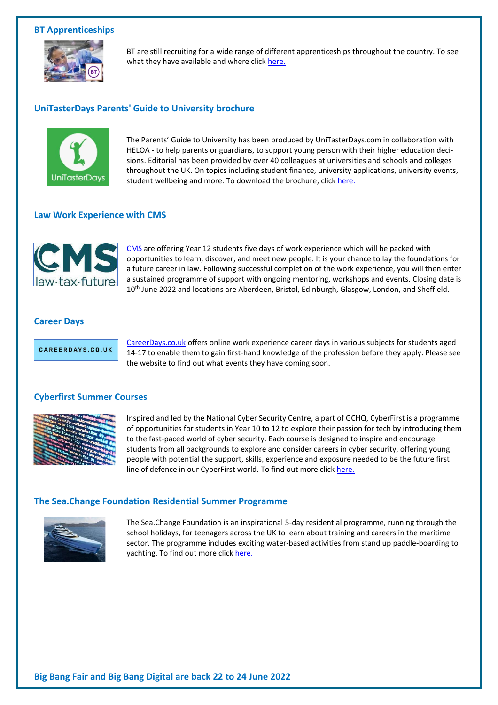#### **BT Apprenticeships**



BT are still recruiting for a wide range of different apprenticeships throughout the country. To see what they have available and where click [here.](https://www.bt.com/careers/early-careers/apprentices/our-programmes)

#### **UniTasterDays Parents' Guide to University brochure**



The Parents' Guide to University has been produced by UniTasterDays.com in collaboration with HELOA - to help parents or guardians, to support young person with their higher education decisions. Editorial has been provided by over 40 colleagues at universities and schools and colleges throughout the UK. On topics including student finance, university applications, university events, student wellbeing and more. To download the brochure, clic[k here.](https://www.unitasterdays.com/parents/)

#### **Law Work Experience with CMS**



[CMS](https://www.cmsearlytalent.com/programmes/work-experience/) are offering Year 12 students five days of work experience which will be packed with opportunities to learn, discover, and meet new people. It is your chance to lay the foundations for a future career in law. Following successful completion of the work experience, you will then enter a sustained programme of support with ongoing mentoring, workshops and events. Closing date is 10<sup>th</sup> June 2022 and locations are Aberdeen, Bristol, Edinburgh, Glasgow, London, and Sheffield.

#### **Career Days**

CAREERDAYS.CO.UK

[CareerDays.co.uk](https://www.careerdays.co.uk/apply-now) offers online work experience career days in various subjects for students aged 14-17 to enable them to gain first-hand knowledge of the profession before they apply. Please see the website to find out what events they have coming soon.

#### **Cyberfirst Summer Courses**



Inspired and led by the National Cyber Security Centre, a part of GCHQ, CyberFirst is a programme of opportunities for students in Year 10 to 12 to explore their passion for tech by introducing them to the fast-paced world of cyber security. Each course is designed to inspire and encourage students from all backgrounds to explore and consider careers in cyber security, offering young people with potential the support, skills, experience and exposure needed to be the future first line of defence in our CyberFirst world. To find out more click [here.](https://www.smallpeicetrust.org.uk/cyberfirst)

#### **The Sea.Change Foundation Residential Summer Programme**



The Sea.Change Foundation is an inspirational 5-day residential programme, running through the school holidays, for teenagers across the UK to learn about training and careers in the maritime sector. The programme includes exciting water-based activities from stand up paddle-boarding to yachting. To find out more click [here.](https://uksa.org/course/professional-training/further-education/sea-change-foundation-programme/)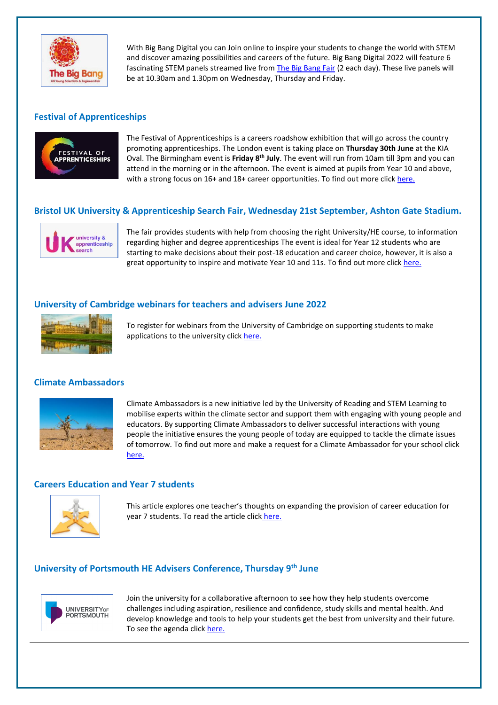

With Big Bang Digital you can Join online to inspire your students to change the world with STEM and discover amazing possibilities and careers of the future. Big Bang Digital 2022 will feature 6 fascinating STEM panels streamed live from [The Big Bang Fair](https://www.thebigbang.org.uk/the-big-bang-fair/) (2 each day). These live panels will be at 10.30am and 1.30pm on Wednesday, Thursday and Friday.

# **Festival of Apprenticeships**



The Festival of Apprenticeships is a careers roadshow exhibition that will go across the country promoting apprenticeships. The London event is taking place on **Thursday 30th June** at the KIA Oval. The Birmingham event is **Friday 8th July**. The event will run from 10am till 3pm and you can attend in the morning or in the afternoon. The event is aimed at pupils from Year 10 and above, with a strong focus on 16+ and 18+ career opportunities. To find out more clic[k here.](https://festivalofapprenticeships.com/?dm_i=4CV9%2C1B0MD%2C5R7CD7%2C612TI%2C1)

# **Bristol UK University & Apprenticeship Search Fair, Wednesday 21st September, Ashton Gate Stadium.**



The fair provides students with help from choosing the right University/HE course, to information regarding higher and degree apprenticeships The event is ideal for Year 12 students who are starting to make decisions about their post-18 education and career choice, however, it is also a great opportunity to inspire and motivate Year 10 and 11s. To find out more click [here.](https://www.ukuniversitysearch.com/storage/app/uploads/public/624/ebe/38d/624ebe38d2555898357035.pdf)

#### **University of Cambridge webinars for teachers and advisers June 2022**



To register for webinars from the University of Cambridge on supporting students to make applications to the university click [here.](https://app.geckoform.com/public/#/modern/21FO00rhra9s2g002bk3n33xe8)

#### **Climate Ambassadors**



Climate Ambassadors is a new initiative led by the University of Reading and STEM Learning to mobilise experts within the climate sector and support them with engaging with young people and educators. By supporting Climate Ambassadors to deliver successful interactions with young people the initiative ensures the young people of today are equipped to tackle the climate issues of tomorrow. To find out more and make a request for a Climate Ambassador for your school click [here.](https://www.stem.org.uk/climate-ambassadors?dm_i=4R68,O5NA,4VKRR9,2YENY,1)

#### **Careers Education and Year 7 students**



This article explores one teacher's thoughts on expanding the provision of career education for year 7 students. To read the article click [here.](https://indigo.careers/careers-guidance-in-schools-what-about-year-7/)

### **University of Portsmouth HE Advisers Conference, Thursday 9 th June**



Join the university for a collaborative afternoon to see how they help students overcome challenges including aspiration, resilience and confidence, study skills and mental health. And develop knowledge and tools to help your students get the best from university and their future. To see the agenda clic[k here.](https://register.gotowebinar.com/register/6180483924751703821?j=87771&sfmc_sub=78652134&l=51_HTML&u=1288091&mid=515009139&jb=5)